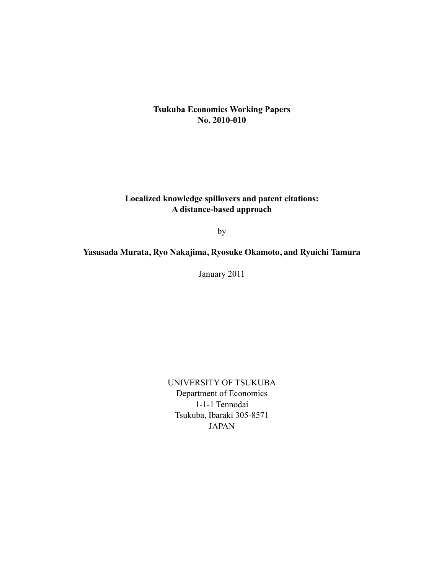# **Tsukuba Economics Working Papers No. 2010-010**

# **Localized knowledge spillovers and patent citations: A distance-based approach**

by

# **Yasusada Murata, Ryo Nakajima, Ryosuke Okamoto, and Ryuichi Tamura**

January 2011

UNIVERSITY OF TSUKUBA Department of Economics 1-1-1 Tennodai Tsukuba, Ibaraki 305-8571 JAPAN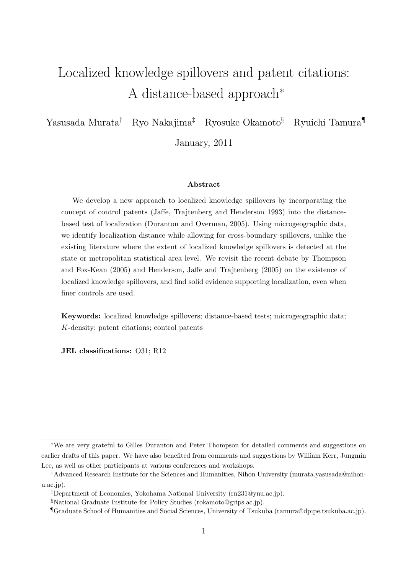# Localized knowledge spillovers and patent citations: A distance-based approach<sup>∗</sup>

Yasusada Murata† Ryo Nakajima‡ Ryosuke Okamoto§ Ryuichi Tamura¶

January, 2011

#### Abstract

We develop a new approach to localized knowledge spillovers by incorporating the concept of control patents (Jaffe, Trajtenberg and Henderson 1993) into the distancebased test of localization (Duranton and Overman, 2005). Using microgeographic data, we identify localization distance while allowing for cross-boundary spillovers, unlike the existing literature where the extent of localized knowledge spillovers is detected at the state or metropolitan statistical area level. We revisit the recent debate by Thompson and Fox-Kean (2005) and Henderson, Jaffe and Trajtenberg (2005) on the existence of localized knowledge spillovers, and find solid evidence supporting localization, even when finer controls are used.

Keywords: localized knowledge spillovers; distance-based tests; microgeographic data; K-density; patent citations; control patents

JEL classifications: O31; R12

<sup>∗</sup>We are very grateful to Gilles Duranton and Peter Thompson for detailed comments and suggestions on earlier drafts of this paper. We have also benefited from comments and suggestions by William Kerr, Jungmin Lee, as well as other participants at various conferences and workshops.

<sup>†</sup>Advanced Research Institute for the Sciences and Humanities, Nihon University (murata.yasusada@nihonu.ac.jp).

<sup>‡</sup>Department of Economics, Yokohama National University (rn231@ynu.ac.jp).

<sup>§</sup>National Graduate Institute for Policy Studies (rokamoto@grips.ac.jp).

<sup>¶</sup>Graduate School of Humanities and Social Sciences, University of Tsukuba (tamura@dpipe.tsukuba.ac.jp).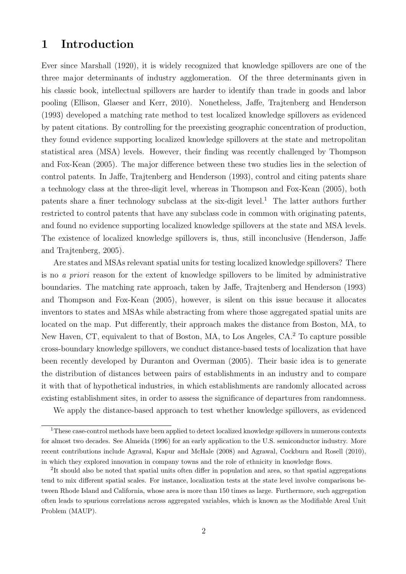# 1 Introduction

Ever since Marshall (1920), it is widely recognized that knowledge spillovers are one of the three major determinants of industry agglomeration. Of the three determinants given in his classic book, intellectual spillovers are harder to identify than trade in goods and labor pooling (Ellison, Glaeser and Kerr, 2010). Nonetheless, Jaffe, Trajtenberg and Henderson (1993) developed a matching rate method to test localized knowledge spillovers as evidenced by patent citations. By controlling for the preexisting geographic concentration of production, they found evidence supporting localized knowledge spillovers at the state and metropolitan statistical area (MSA) levels. However, their finding was recently challenged by Thompson and Fox-Kean (2005). The major difference between these two studies lies in the selection of control patents. In Jaffe, Trajtenberg and Henderson (1993), control and citing patents share a technology class at the three-digit level, whereas in Thompson and Fox-Kean (2005), both patents share a finer technology subclass at the six-digit level.<sup>1</sup> The latter authors further restricted to control patents that have any subclass code in common with originating patents, and found no evidence supporting localized knowledge spillovers at the state and MSA levels. The existence of localized knowledge spillovers is, thus, still inconclusive (Henderson, Jaffe and Trajtenberg, 2005).

Are states and MSAs relevant spatial units for testing localized knowledge spillovers? There is no a priori reason for the extent of knowledge spillovers to be limited by administrative boundaries. The matching rate approach, taken by Jaffe, Trajtenberg and Henderson (1993) and Thompson and Fox-Kean (2005), however, is silent on this issue because it allocates inventors to states and MSAs while abstracting from where those aggregated spatial units are located on the map. Put differently, their approach makes the distance from Boston, MA, to New Haven, CT, equivalent to that of Boston, MA, to Los Angeles, CA.<sup>2</sup> To capture possible cross-boundary knowledge spillovers, we conduct distance-based tests of localization that have been recently developed by Duranton and Overman (2005). Their basic idea is to generate the distribution of distances between pairs of establishments in an industry and to compare it with that of hypothetical industries, in which establishments are randomly allocated across existing establishment sites, in order to assess the significance of departures from randomness.

We apply the distance-based approach to test whether knowledge spillovers, as evidenced

<sup>1</sup>These case-control methods have been applied to detect localized knowledge spillovers in numerous contexts for almost two decades. See Almeida (1996) for an early application to the U.S. semiconductor industry. More recent contributions include Agrawal, Kapur and McHale (2008) and Agrawal, Cockburn and Rosell (2010), in which they explored innovation in company towns and the role of ethnicity in knowledge flows.

<sup>2</sup>It should also be noted that spatial units often differ in population and area, so that spatial aggregations tend to mix different spatial scales. For instance, localization tests at the state level involve comparisons between Rhode Island and California, whose area is more than 150 times as large. Furthermore, such aggregation often leads to spurious correlations across aggregated variables, which is known as the Modifiable Areal Unit Problem (MAUP).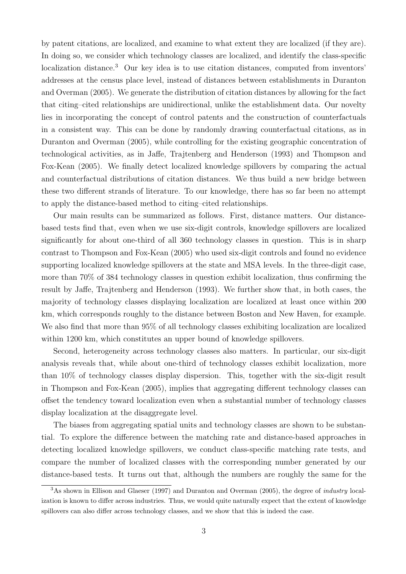by patent citations, are localized, and examine to what extent they are localized (if they are). In doing so, we consider which technology classes are localized, and identify the class-specific localization distance.<sup>3</sup> Our key idea is to use citation distances, computed from inventors' addresses at the census place level, instead of distances between establishments in Duranton and Overman (2005). We generate the distribution of citation distances by allowing for the fact that citing–cited relationships are unidirectional, unlike the establishment data. Our novelty lies in incorporating the concept of control patents and the construction of counterfactuals in a consistent way. This can be done by randomly drawing counterfactual citations, as in Duranton and Overman (2005), while controlling for the existing geographic concentration of technological activities, as in Jaffe, Trajtenberg and Henderson (1993) and Thompson and Fox-Kean (2005). We finally detect localized knowledge spillovers by comparing the actual and counterfactual distributions of citation distances. We thus build a new bridge between these two different strands of literature. To our knowledge, there has so far been no attempt to apply the distance-based method to citing–cited relationships.

Our main results can be summarized as follows. First, distance matters. Our distancebased tests find that, even when we use six-digit controls, knowledge spillovers are localized significantly for about one-third of all 360 technology classes in question. This is in sharp contrast to Thompson and Fox-Kean (2005) who used six-digit controls and found no evidence supporting localized knowledge spillovers at the state and MSA levels. In the three-digit case, more than 70% of 384 technology classes in question exhibit localization, thus confirming the result by Jaffe, Trajtenberg and Henderson (1993). We further show that, in both cases, the majority of technology classes displaying localization are localized at least once within 200 km, which corresponds roughly to the distance between Boston and New Haven, for example. We also find that more than 95% of all technology classes exhibiting localization are localized within 1200 km, which constitutes an upper bound of knowledge spillovers.

Second, heterogeneity across technology classes also matters. In particular, our six-digit analysis reveals that, while about one-third of technology classes exhibit localization, more than 10% of technology classes display dispersion. This, together with the six-digit result in Thompson and Fox-Kean (2005), implies that aggregating different technology classes can offset the tendency toward localization even when a substantial number of technology classes display localization at the disaggregate level.

The biases from aggregating spatial units and technology classes are shown to be substantial. To explore the difference between the matching rate and distance-based approaches in detecting localized knowledge spillovers, we conduct class-specific matching rate tests, and compare the number of localized classes with the corresponding number generated by our distance-based tests. It turns out that, although the numbers are roughly the same for the

<sup>3</sup>As shown in Ellison and Glaeser (1997) and Duranton and Overman (2005), the degree of industry localization is known to differ across industries. Thus, we would quite naturally expect that the extent of knowledge spillovers can also differ across technology classes, and we show that this is indeed the case.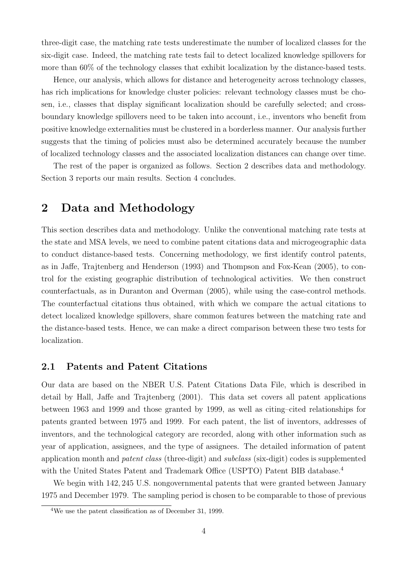three-digit case, the matching rate tests underestimate the number of localized classes for the six-digit case. Indeed, the matching rate tests fail to detect localized knowledge spillovers for more than 60% of the technology classes that exhibit localization by the distance-based tests.

Hence, our analysis, which allows for distance and heterogeneity across technology classes, has rich implications for knowledge cluster policies: relevant technology classes must be chosen, i.e., classes that display significant localization should be carefully selected; and crossboundary knowledge spillovers need to be taken into account, i.e., inventors who benefit from positive knowledge externalities must be clustered in a borderless manner. Our analysis further suggests that the timing of policies must also be determined accurately because the number of localized technology classes and the associated localization distances can change over time.

The rest of the paper is organized as follows. Section 2 describes data and methodology. Section 3 reports our main results. Section 4 concludes.

# 2 Data and Methodology

This section describes data and methodology. Unlike the conventional matching rate tests at the state and MSA levels, we need to combine patent citations data and microgeographic data to conduct distance-based tests. Concerning methodology, we first identify control patents, as in Jaffe, Trajtenberg and Henderson (1993) and Thompson and Fox-Kean (2005), to control for the existing geographic distribution of technological activities. We then construct counterfactuals, as in Duranton and Overman (2005), while using the case-control methods. The counterfactual citations thus obtained, with which we compare the actual citations to detect localized knowledge spillovers, share common features between the matching rate and the distance-based tests. Hence, we can make a direct comparison between these two tests for localization.

### 2.1 Patents and Patent Citations

Our data are based on the NBER U.S. Patent Citations Data File, which is described in detail by Hall, Jaffe and Trajtenberg (2001). This data set covers all patent applications between 1963 and 1999 and those granted by 1999, as well as citing–cited relationships for patents granted between 1975 and 1999. For each patent, the list of inventors, addresses of inventors, and the technological category are recorded, along with other information such as year of application, assignees, and the type of assignees. The detailed information of patent application month and patent class (three-digit) and subclass (six-digit) codes is supplemented with the United States Patent and Trademark Office (USPTO) Patent BIB database.<sup>4</sup>

We begin with 142, 245 U.S. nongovernmental patents that were granted between January 1975 and December 1979. The sampling period is chosen to be comparable to those of previous

<sup>4</sup>We use the patent classification as of December 31, 1999.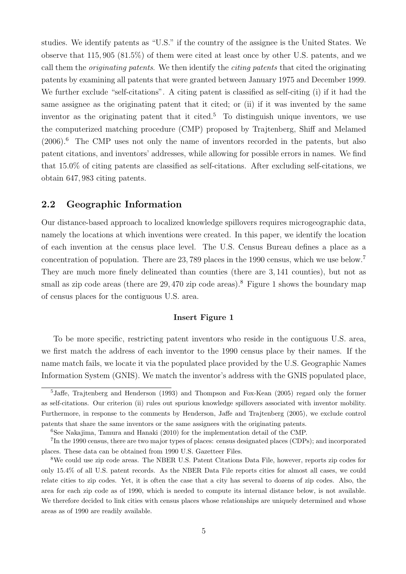studies. We identify patents as "U.S." if the country of the assignee is the United States. We observe that 115, 905 (81.5%) of them were cited at least once by other U.S. patents, and we call them the originating patents. We then identify the citing patents that cited the originating patents by examining all patents that were granted between January 1975 and December 1999. We further exclude "self-citations". A citing patent is classified as self-citing (i) if it had the same assignee as the originating patent that it cited; or (ii) if it was invented by the same inventor as the originating patent that it cited.<sup>5</sup> To distinguish unique inventors, we use the computerized matching procedure (CMP) proposed by Trajtenberg, Shiff and Melamed  $(2006).<sup>6</sup>$  The CMP uses not only the name of inventors recorded in the patents, but also patent citations, and inventors' addresses, while allowing for possible errors in names. We find that 15.0% of citing patents are classified as self-citations. After excluding self-citations, we obtain 647, 983 citing patents.

## 2.2 Geographic Information

Our distance-based approach to localized knowledge spillovers requires microgeographic data, namely the locations at which inventions were created. In this paper, we identify the location of each invention at the census place level. The U.S. Census Bureau defines a place as a concentration of population. There are 23, 789 places in the 1990 census, which we use below.<sup>7</sup> They are much more finely delineated than counties (there are 3, 141 counties), but not as small as zip code areas (there are  $29,470$  zip code areas).<sup>8</sup> Figure 1 shows the boundary map of census places for the contiguous U.S. area.

### Insert Figure 1

To be more specific, restricting patent inventors who reside in the contiguous U.S. area, we first match the address of each inventor to the 1990 census place by their names. If the name match fails, we locate it via the populated place provided by the U.S. Geographic Names Information System (GNIS). We match the inventor's address with the GNIS populated place,

<sup>5</sup>Jaffe, Trajtenberg and Henderson (1993) and Thompson and Fox-Kean (2005) regard only the former as self-citations. Our criterion (ii) rules out spurious knowledge spillovers associated with inventor mobility. Furthermore, in response to the comments by Henderson, Jaffe and Trajtenberg (2005), we exclude control patents that share the same inventors or the same assignees with the originating patents.

<sup>6</sup>See Nakajima, Tamura and Hanaki (2010) for the implementation detail of the CMP.

<sup>7</sup>In the 1990 census, there are two major types of places: census designated places (CDPs); and incorporated places. These data can be obtained from 1990 U.S. Gazetteer Files.

<sup>8</sup>We could use zip code areas. The NBER U.S. Patent Citations Data File, however, reports zip codes for only 15.4% of all U.S. patent records. As the NBER Data File reports cities for almost all cases, we could relate cities to zip codes. Yet, it is often the case that a city has several to dozens of zip codes. Also, the area for each zip code as of 1990, which is needed to compute its internal distance below, is not available. We therefore decided to link cities with census places whose relationships are uniquely determined and whose areas as of 1990 are readily available.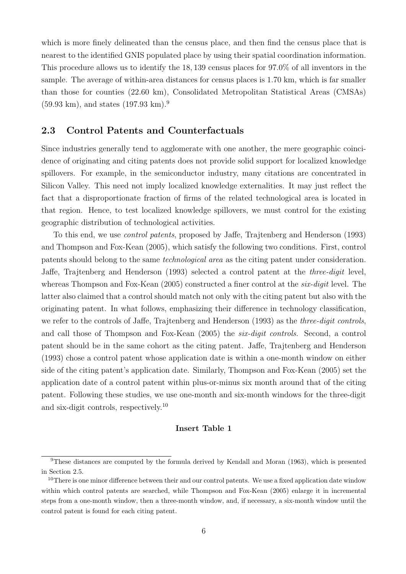which is more finely delineated than the census place, and then find the census place that is nearest to the identified GNIS populated place by using their spatial coordination information. This procedure allows us to identify the 18, 139 census places for 97.0% of all inventors in the sample. The average of within-area distances for census places is 1.70 km, which is far smaller than those for counties (22.60 km), Consolidated Metropolitan Statistical Areas (CMSAs)  $(59.93 \text{ km})$ , and states  $(197.93 \text{ km})$ .<sup>9</sup>

# 2.3 Control Patents and Counterfactuals

Since industries generally tend to agglomerate with one another, the mere geographic coincidence of originating and citing patents does not provide solid support for localized knowledge spillovers. For example, in the semiconductor industry, many citations are concentrated in Silicon Valley. This need not imply localized knowledge externalities. It may just reflect the fact that a disproportionate fraction of firms of the related technological area is located in that region. Hence, to test localized knowledge spillovers, we must control for the existing geographic distribution of technological activities.

To this end, we use control patents, proposed by Jaffe, Trajtenberg and Henderson (1993) and Thompson and Fox-Kean (2005), which satisfy the following two conditions. First, control patents should belong to the same technological area as the citing patent under consideration. Jaffe, Trajtenberg and Henderson (1993) selected a control patent at the three-digit level, whereas Thompson and Fox-Kean (2005) constructed a finer control at the *six-digit* level. The latter also claimed that a control should match not only with the citing patent but also with the originating patent. In what follows, emphasizing their difference in technology classification, we refer to the controls of Jaffe, Trajtenberg and Henderson (1993) as the three-digit controls, and call those of Thompson and Fox-Kean (2005) the six-digit controls. Second, a control patent should be in the same cohort as the citing patent. Jaffe, Trajtenberg and Henderson (1993) chose a control patent whose application date is within a one-month window on either side of the citing patent's application date. Similarly, Thompson and Fox-Kean (2005) set the application date of a control patent within plus-or-minus six month around that of the citing patent. Following these studies, we use one-month and six-month windows for the three-digit and six-digit controls, respectively.<sup>10</sup>

#### Insert Table 1

<sup>&</sup>lt;sup>9</sup>These distances are computed by the formula derived by Kendall and Moran (1963), which is presented in Section 2.5.

<sup>&</sup>lt;sup>10</sup>There is one minor difference between their and our control patents. We use a fixed application date window within which control patents are searched, while Thompson and Fox-Kean (2005) enlarge it in incremental steps from a one-month window, then a three-month window, and, if necessary, a six-month window until the control patent is found for each citing patent.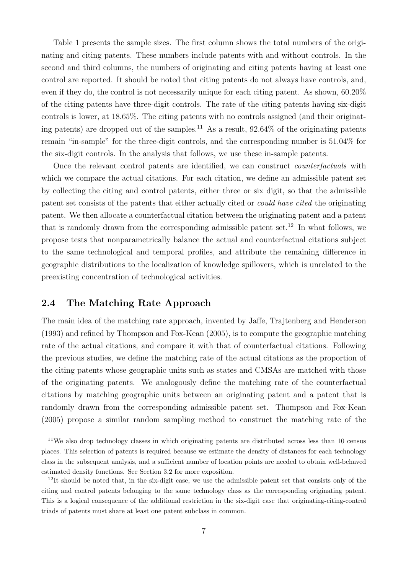Table 1 presents the sample sizes. The first column shows the total numbers of the originating and citing patents. These numbers include patents with and without controls. In the second and third columns, the numbers of originating and citing patents having at least one control are reported. It should be noted that citing patents do not always have controls, and, even if they do, the control is not necessarily unique for each citing patent. As shown, 60.20% of the citing patents have three-digit controls. The rate of the citing patents having six-digit controls is lower, at 18.65%. The citing patents with no controls assigned (and their originating patents) are dropped out of the samples.<sup>11</sup> As a result,  $92.64\%$  of the originating patents remain "in-sample" for the three-digit controls, and the corresponding number is 51.04% for the six-digit controls. In the analysis that follows, we use these in-sample patents.

Once the relevant control patents are identified, we can construct *counterfactuals* with which we compare the actual citations. For each citation, we define an admissible patent set by collecting the citing and control patents, either three or six digit, so that the admissible patent set consists of the patents that either actually cited or could have cited the originating patent. We then allocate a counterfactual citation between the originating patent and a patent that is randomly drawn from the corresponding admissible patent set.<sup>12</sup> In what follows, we propose tests that nonparametrically balance the actual and counterfactual citations subject to the same technological and temporal profiles, and attribute the remaining difference in geographic distributions to the localization of knowledge spillovers, which is unrelated to the preexisting concentration of technological activities.

# 2.4 The Matching Rate Approach

The main idea of the matching rate approach, invented by Jaffe, Trajtenberg and Henderson (1993) and refined by Thompson and Fox-Kean (2005), is to compute the geographic matching rate of the actual citations, and compare it with that of counterfactual citations. Following the previous studies, we define the matching rate of the actual citations as the proportion of the citing patents whose geographic units such as states and CMSAs are matched with those of the originating patents. We analogously define the matching rate of the counterfactual citations by matching geographic units between an originating patent and a patent that is randomly drawn from the corresponding admissible patent set. Thompson and Fox-Kean (2005) propose a similar random sampling method to construct the matching rate of the

<sup>&</sup>lt;sup>11</sup>We also drop technology classes in which originating patents are distributed across less than 10 census places. This selection of patents is required because we estimate the density of distances for each technology class in the subsequent analysis, and a sufficient number of location points are needed to obtain well-behaved estimated density functions. See Section 3.2 for more exposition.

<sup>12</sup>It should be noted that, in the six-digit case, we use the admissible patent set that consists only of the citing and control patents belonging to the same technology class as the corresponding originating patent. This is a logical consequence of the additional restriction in the six-digit case that originating-citing-control triads of patents must share at least one patent subclass in common.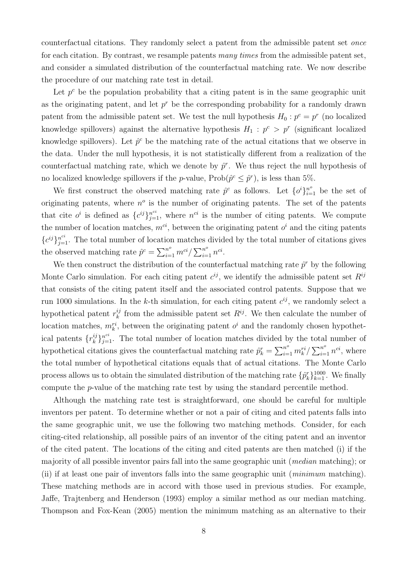counterfactual citations. They randomly select a patent from the admissible patent set once for each citation. By contrast, we resample patents many times from the admissible patent set, and consider a simulated distribution of the counterfactual matching rate. We now describe the procedure of our matching rate test in detail.

Let  $p^c$  be the population probability that a citing patent is in the same geographic unit as the originating patent, and let  $p^r$  be the corresponding probability for a randomly drawn patent from the admissible patent set. We test the null hypothesis  $H_0: p^c = p^r$  (no localized knowledge spillovers) against the alternative hypothesis  $H_1 : p^c > p^r$  (significant localized knowledge spillovers). Let  $\hat{p}^c$  be the matching rate of the actual citations that we observe in the data. Under the null hypothesis, it is not statistically different from a realization of the counterfactual matching rate, which we denote by  $\hat{p}^r$ . We thus reject the null hypothesis of no localized knowledge spillovers if the *p*-value,  $\text{Prob}(\hat{p}^c \leq \hat{p}^r)$ , is less than 5%.

We first construct the observed matching rate  $\hat{p}^c$  as follows. Let  $\{o^i\}_{i=1}^{n^o}$  be the set of originating patents, where  $n^{\circ}$  is the number of originating patents. The set of the patents that cite  $o^i$  is defined as  $\{c^{ij}\}_{j=1}^{n^{ci}}$ , where  $n^{ci}$  is the number of citing patents. We compute the number of location matches,  $m^{ci}$ , between the originating patent  $o^i$  and the citing patents  ${c^{ij}}_{j=1}^{n^{ci}}$ . The total number of location matches divided by the total number of citations gives the observed matching rate  $\hat{p}^c = \sum_{i=1}^{n^o} m^{ci} / \sum_{i=1}^{n^o} n^{ci}$ .

We then construct the distribution of the counterfactual matching rate  $\hat{p}^r$  by the following Monte Carlo simulation. For each citing patent  $c^{ij}$ , we identify the admissible patent set  $R^{ij}$ that consists of the citing patent itself and the associated control patents. Suppose that we run 1000 simulations. In the k-th simulation, for each citing patent  $c^{ij}$ , we randomly select a hypothetical patent  $r_k^{ij}$  from the admissible patent set  $R^{ij}$ . We then calculate the number of location matches,  $m_k^{ri}$ , between the originating patent  $o^i$  and the randomly chosen hypothetical patents  $\{r_k^{ij}\}_{j=1}^{n^{ci}}$ . The total number of location matches divided by the total number of hypothetical citations gives the counterfactual matching rate  $\hat{p}_k^r = \sum_{i=1}^{n^o} m_k^{ri} / \sum_{i=1}^{n^o} n^{ci}$ , where the total number of hypothetical citations equals that of actual citations. The Monte Carlo process allows us to obtain the simulated distribution of the matching rate  $\{\hat{p}_k^r\}_{k=1}^{1000}$ . We finally compute the p-value of the matching rate test by using the standard percentile method.

Although the matching rate test is straightforward, one should be careful for multiple inventors per patent. To determine whether or not a pair of citing and cited patents falls into the same geographic unit, we use the following two matching methods. Consider, for each citing-cited relationship, all possible pairs of an inventor of the citing patent and an inventor of the cited patent. The locations of the citing and cited patents are then matched (i) if the majority of all possible inventor pairs fall into the same geographic unit (median matching); or (ii) if at least one pair of inventors falls into the same geographic unit (minimum matching). These matching methods are in accord with those used in previous studies. For example, Jaffe, Trajtenberg and Henderson (1993) employ a similar method as our median matching. Thompson and Fox-Kean (2005) mention the minimum matching as an alternative to their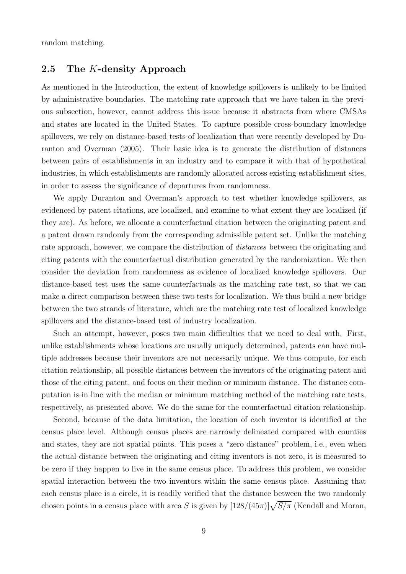random matching.

# 2.5 The K-density Approach

As mentioned in the Introduction, the extent of knowledge spillovers is unlikely to be limited by administrative boundaries. The matching rate approach that we have taken in the previous subsection, however, cannot address this issue because it abstracts from where CMSAs and states are located in the United States. To capture possible cross-boundary knowledge spillovers, we rely on distance-based tests of localization that were recently developed by Duranton and Overman (2005). Their basic idea is to generate the distribution of distances between pairs of establishments in an industry and to compare it with that of hypothetical industries, in which establishments are randomly allocated across existing establishment sites, in order to assess the significance of departures from randomness.

We apply Duranton and Overman's approach to test whether knowledge spillovers, as evidenced by patent citations, are localized, and examine to what extent they are localized (if they are). As before, we allocate a counterfactual citation between the originating patent and a patent drawn randomly from the corresponding admissible patent set. Unlike the matching rate approach, however, we compare the distribution of distances between the originating and citing patents with the counterfactual distribution generated by the randomization. We then consider the deviation from randomness as evidence of localized knowledge spillovers. Our distance-based test uses the same counterfactuals as the matching rate test, so that we can make a direct comparison between these two tests for localization. We thus build a new bridge between the two strands of literature, which are the matching rate test of localized knowledge spillovers and the distance-based test of industry localization.

Such an attempt, however, poses two main difficulties that we need to deal with. First, unlike establishments whose locations are usually uniquely determined, patents can have multiple addresses because their inventors are not necessarily unique. We thus compute, for each citation relationship, all possible distances between the inventors of the originating patent and those of the citing patent, and focus on their median or minimum distance. The distance computation is in line with the median or minimum matching method of the matching rate tests, respectively, as presented above. We do the same for the counterfactual citation relationship.

Second, because of the data limitation, the location of each inventor is identified at the census place level. Although census places are narrowly delineated compared with counties and states, they are not spatial points. This poses a "zero distance" problem, i.e., even when the actual distance between the originating and citing inventors is not zero, it is measured to be zero if they happen to live in the same census place. To address this problem, we consider spatial interaction between the two inventors within the same census place. Assuming that each census place is a circle, it is readily verified that the distance between the two randomly chosen points in a census place with area S is given by  $[128/(45\pi)]\sqrt{S/\pi}$  (Kendall and Moran,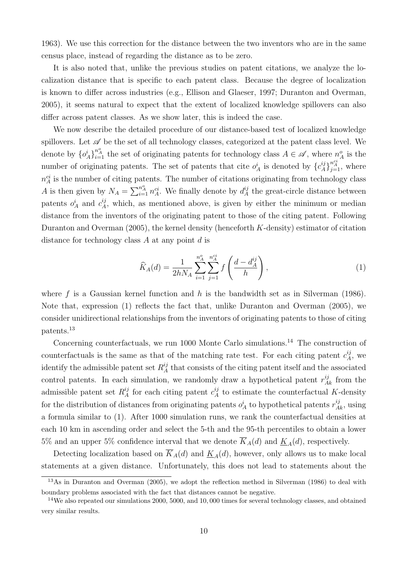1963). We use this correction for the distance between the two inventors who are in the same census place, instead of regarding the distance as to be zero.

It is also noted that, unlike the previous studies on patent citations, we analyze the localization distance that is specific to each patent class. Because the degree of localization is known to differ across industries (e.g., Ellison and Glaeser, 1997; Duranton and Overman, 2005), it seems natural to expect that the extent of localized knowledge spillovers can also differ across patent classes. As we show later, this is indeed the case.

We now describe the detailed procedure of our distance-based test of localized knowledge spillovers. Let  $\mathscr A$  be the set of all technology classes, categorized at the patent class level. We denote by  $\{o_A^i\}$  $n_A^o$  the set of originating patents for technology class  $A \in \mathscr{A}$ , where  $n_A^o$  is the number of originating patents. The set of patents that cite  $o_A^i$  is denoted by  $\{c_A^{ij}\}$  $\sum_{j=1}^{n_A^{ci}}$ , where  $n_A^{ci}$  is the number of citing patents. The number of citations originating from technology class A is then given by  $N_A = \sum_{i=1}^{n_A^o} n_A^{ci}$ . We finally denote by  $d_A^{ij}$  the great-circle distance between patents  $o_A^i$  and  $c_A^{ij}$ , which, as mentioned above, is given by either the minimum or median distance from the inventors of the originating patent to those of the citing patent. Following Duranton and Overman  $(2005)$ , the kernel density (henceforth K-density) estimator of citation distance for technology class  $A$  at any point  $d$  is

$$
\widehat{K}_A(d) = \frac{1}{2hN_A} \sum_{i=1}^{n_A^o} \sum_{j=1}^{n_A^{ci}} f\left(\frac{d - d_A^{ij}}{h}\right),\tag{1}
$$

where  $f$  is a Gaussian kernel function and  $h$  is the bandwidth set as in Silverman (1986). Note that, expression (1) reflects the fact that, unlike Duranton and Overman (2005), we consider unidirectional relationships from the inventors of originating patents to those of citing patents.<sup>13</sup>

Concerning counterfactuals, we run 1000 Monte Carlo simulations.<sup>14</sup> The construction of counterfactuals is the same as that of the matching rate test. For each citing patent  $c_A^{ij}$ , we identify the admissible patent set  $R_A^{ij}$  that consists of the citing patent itself and the associated control patents. In each simulation, we randomly draw a hypothetical patent  $r_{Ak}^{ij}$  from the admissible patent set  $R_A^{ij}$  for each citing patent  $c_A^{ij}$  to estimate the counterfactual K-density for the distribution of distances from originating patents  $o_A^i$  to hypothetical patents  $r_{Ak}^{ij}$ , using a formula similar to (1). After 1000 simulation runs, we rank the counterfactual densities at each 10 km in ascending order and select the 5-th and the 95-th percentiles to obtain a lower 5% and an upper 5% confidence interval that we denote  $\overline{K}_A(d)$  and  $\underline{K}_A(d)$ , respectively.

Detecting localization based on  $\overline{K}_A(d)$  and  $\underline{K}_A(d)$ , however, only allows us to make local statements at a given distance. Unfortunately, this does not lead to statements about the

 $13\text{As}$  in Duranton and Overman (2005), we adopt the reflection method in Silverman (1986) to deal with boundary problems associated with the fact that distances cannot be negative.

<sup>&</sup>lt;sup>14</sup>We also repeated our simulations 2000, 5000, and 10,000 times for several technology classes, and obtained very similar results.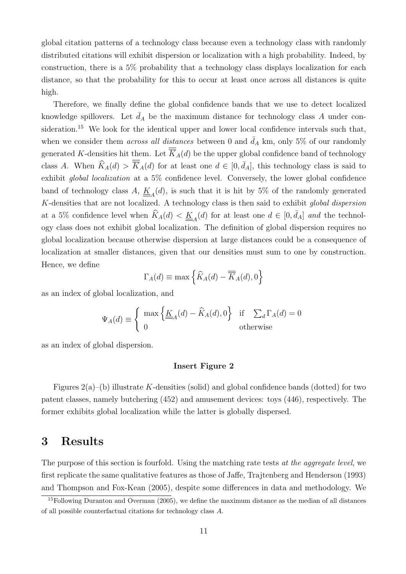global citation patterns of a technology class because even a technology class with randomly distributed citations will exhibit dispersion or localization with a high probability. Indeed, by construction, there is a 5% probability that a technology class displays localization for each distance, so that the probability for this to occur at least once across all distances is quite high.

Therefore, we finally define the global confidence bands that we use to detect localized knowledge spillovers. Let  $\bar{d}_A$  be the maximum distance for technology class A under consideration.<sup>15</sup> We look for the identical upper and lower local confidence intervals such that, when we consider them *across all distances* between 0 and  $\bar{d}_A$  km, only 5% of our randomly generated K-densities hit them. Let  $\overline{K}_A(d)$  be the upper global confidence band of technology class A. When  $\widehat{K}_A(d) > \overline{K}_A(d)$  for at least one  $d \in [0, \overline{d}_A]$ , this technology class is said to exhibit global localization at a 5% confidence level. Conversely, the lower global confidence band of technology class A,  $\underline{K}_{4}(d)$ , is such that it is hit by 5% of the randomly generated K-densities that are not localized. A technology class is then said to exhibit global dispersion at a 5% confidence level when  $\widehat{K}_A(d) < \underline{K}_A(d)$  for at least one  $d \in [0, \bar{d}_A]$  and the technology class does not exhibit global localization. The definition of global dispersion requires no global localization because otherwise dispersion at large distances could be a consequence of localization at smaller distances, given that our densities must sum to one by construction. Hence, we define

$$
\Gamma_A(d) \equiv \max\left\{\widehat{K}_A(d) - \overline{\overline{K}}_A(d), 0\right\}
$$

as an index of global localization, and

$$
\Psi_A(d) \equiv \begin{cases} \max \left\{ \underline{\underline{K}}_A(d) - \widehat{K}_A(d), 0 \right\} & \text{if } \sum_d \Gamma_A(d) = 0 \\ 0 & \text{otherwise} \end{cases}
$$

as an index of global dispersion.

#### Insert Figure 2

Figures  $2(a)$ –(b) illustrate K-densities (solid) and global confidence bands (dotted) for two patent classes, namely butchering (452) and amusement devices: toys (446), respectively. The former exhibits global localization while the latter is globally dispersed.

# 3 Results

The purpose of this section is fourfold. Using the matching rate tests at the aggregate level, we first replicate the same qualitative features as those of Jaffe, Trajtenberg and Henderson (1993) and Thompson and Fox-Kean (2005), despite some differences in data and methodology. We

<sup>&</sup>lt;sup>15</sup>Following Duranton and Overman (2005), we define the maximum distance as the median of all distances of all possible counterfactual citations for technology class A.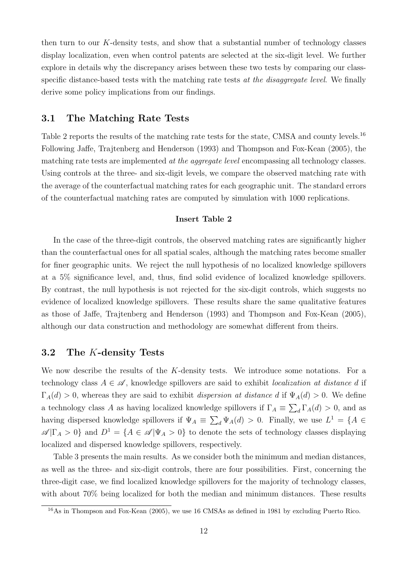then turn to our K-density tests, and show that a substantial number of technology classes display localization, even when control patents are selected at the six-digit level. We further explore in details why the discrepancy arises between these two tests by comparing our classspecific distance-based tests with the matching rate tests at the disaggregate level. We finally derive some policy implications from our findings.

# 3.1 The Matching Rate Tests

Table 2 reports the results of the matching rate tests for the state, CMSA and county levels.<sup>16</sup> Following Jaffe, Trajtenberg and Henderson (1993) and Thompson and Fox-Kean (2005), the matching rate tests are implemented at the aggregate level encompassing all technology classes. Using controls at the three- and six-digit levels, we compare the observed matching rate with the average of the counterfactual matching rates for each geographic unit. The standard errors of the counterfactual matching rates are computed by simulation with 1000 replications.

#### Insert Table 2

In the case of the three-digit controls, the observed matching rates are significantly higher than the counterfactual ones for all spatial scales, although the matching rates become smaller for finer geographic units. We reject the null hypothesis of no localized knowledge spillovers at a 5% significance level, and, thus, find solid evidence of localized knowledge spillovers. By contrast, the null hypothesis is not rejected for the six-digit controls, which suggests no evidence of localized knowledge spillovers. These results share the same qualitative features as those of Jaffe, Trajtenberg and Henderson (1993) and Thompson and Fox-Kean (2005), although our data construction and methodology are somewhat different from theirs.

### 3.2 The K-density Tests

We now describe the results of the K-density tests. We introduce some notations. For a technology class  $A \in \mathscr{A}$ , knowledge spillovers are said to exhibit *localization at distance d* if  $\Gamma_A(d) > 0$ , whereas they are said to exhibit *dispersion at distance d* if  $\Psi_A(d) > 0$ . We define a technology class A as having localized knowledge spillovers if  $\Gamma_A \equiv \sum_d \Gamma_A(d) > 0$ , and as having dispersed knowledge spillovers if  $\Psi_A \equiv \sum_d \Psi_A(d) > 0$ . Finally, we use  $L^1 = \{A \in$  $\mathscr{A}|\Gamma_A > 0$ } and  $D^1 = \{A \in \mathscr{A}|\Psi_A > 0\}$  to denote the sets of technology classes displaying localized and dispersed knowledge spillovers, respectively.

Table 3 presents the main results. As we consider both the minimum and median distances, as well as the three- and six-digit controls, there are four possibilities. First, concerning the three-digit case, we find localized knowledge spillovers for the majority of technology classes, with about  $70\%$  being localized for both the median and minimum distances. These results

 $\frac{16}{16}$ As in Thompson and Fox-Kean (2005), we use 16 CMSAs as defined in 1981 by excluding Puerto Rico.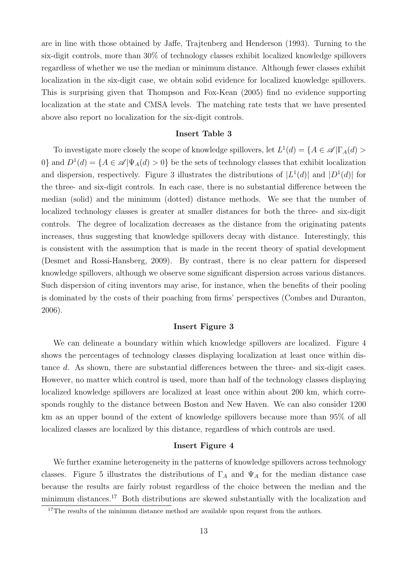are in line with those obtained by Jaffe, Trajtenberg and Henderson (1993). Turning to the six-digit controls, more than 30% of technology classes exhibit localized knowledge spillovers regardless of whether we use the median or minimum distance. Although fewer classes exhibit localization in the six-digit case, we obtain solid evidence for localized knowledge spillovers. This is surprising given that Thompson and Fox-Kean (2005) find no evidence supporting localization at the state and CMSA levels. The matching rate tests that we have presented above also report no localization for the six-digit controls.

#### Insert Table 3

To investigate more closely the scope of knowledge spillovers, let  $L^1(d) = \{A \in \mathscr{A} | \Gamma_A(d) >$ 0} and  $D^1(d) = \{A \in \mathscr{A} | \Psi_A(d) > 0\}$  be the sets of technology classes that exhibit localization and dispersion, respectively. Figure 3 illustrates the distributions of  $|L^1(d)|$  and  $|D^1(d)|$  for the three- and six-digit controls. In each case, there is no substantial difference between the median (solid) and the minimum (dotted) distance methods. We see that the number of localized technology classes is greater at smaller distances for both the three- and six-digit controls. The degree of localization decreases as the distance from the originating patents increases, thus suggesting that knowledge spillovers decay with distance. Interestingly, this is consistent with the assumption that is made in the recent theory of spatial development (Desmet and Rossi-Hansberg, 2009). By contrast, there is no clear pattern for dispersed knowledge spillovers, although we observe some significant dispersion across various distances. Such dispersion of citing inventors may arise, for instance, when the benefits of their pooling is dominated by the costs of their poaching from firms' perspectives (Combes and Duranton, 2006).

#### Insert Figure 3

We can delineate a boundary within which knowledge spillovers are localized. Figure 4 shows the percentages of technology classes displaying localization at least once within distance d. As shown, there are substantial differences between the three- and six-digit cases. However, no matter which control is used, more than half of the technology classes displaying localized knowledge spillovers are localized at least once within about 200 km, which corresponds roughly to the distance between Boston and New Haven. We can also consider 1200 km as an upper bound of the extent of knowledge spillovers because more than 95% of all localized classes are localized by this distance, regardless of which controls are used.

#### Insert Figure 4

We further examine heterogeneity in the patterns of knowledge spillovers across technology classes. Figure 5 illustrates the distributions of  $\Gamma_A$  and  $\Psi_A$  for the median distance case because the results are fairly robust regardless of the choice between the median and the minimum distances.<sup>17</sup> Both distributions are skewed substantially with the localization and

<sup>&</sup>lt;sup>17</sup>The results of the minimum distance method are available upon request from the authors.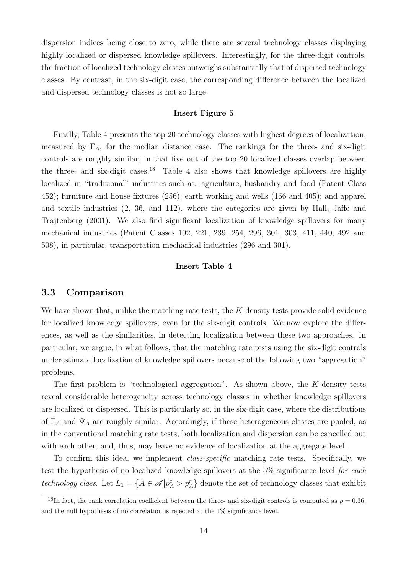dispersion indices being close to zero, while there are several technology classes displaying highly localized or dispersed knowledge spillovers. Interestingly, for the three-digit controls, the fraction of localized technology classes outweighs substantially that of dispersed technology classes. By contrast, in the six-digit case, the corresponding difference between the localized and dispersed technology classes is not so large.

#### Insert Figure 5

Finally, Table 4 presents the top 20 technology classes with highest degrees of localization, measured by  $\Gamma_A$ , for the median distance case. The rankings for the three- and six-digit controls are roughly similar, in that five out of the top 20 localized classes overlap between the three- and six-digit cases.<sup>18</sup> Table 4 also shows that knowledge spillovers are highly localized in "traditional" industries such as: agriculture, husbandry and food (Patent Class 452); furniture and house fixtures (256); earth working and wells (166 and 405); and apparel and textile industries (2, 36, and 112), where the categories are given by Hall, Jaffe and Trajtenberg (2001). We also find significant localization of knowledge spillovers for many mechanical industries (Patent Classes 192, 221, 239, 254, 296, 301, 303, 411, 440, 492 and 508), in particular, transportation mechanical industries (296 and 301).

#### Insert Table 4

## 3.3 Comparison

We have shown that, unlike the matching rate tests, the  $K$ -density tests provide solid evidence for localized knowledge spillovers, even for the six-digit controls. We now explore the differences, as well as the similarities, in detecting localization between these two approaches. In particular, we argue, in what follows, that the matching rate tests using the six-digit controls underestimate localization of knowledge spillovers because of the following two "aggregation" problems.

The first problem is "technological aggregation". As shown above, the K-density tests reveal considerable heterogeneity across technology classes in whether knowledge spillovers are localized or dispersed. This is particularly so, in the six-digit case, where the distributions of  $\Gamma_A$  and  $\Psi_A$  are roughly similar. Accordingly, if these heterogeneous classes are pooled, as in the conventional matching rate tests, both localization and dispersion can be cancelled out with each other, and, thus, may leave no evidence of localization at the aggregate level.

To confirm this idea, we implement class-specific matching rate tests. Specifically, we test the hypothesis of no localized knowledge spillovers at the 5% significance level for each technology class. Let  $L_1 = \{A \in \mathscr{A} | p_A^c > p_A^r\}$  denote the set of technology classes that exhibit

<sup>&</sup>lt;sup>18</sup>In fact, the rank correlation coefficient between the three- and six-digit controls is computed as  $\rho = 0.36$ . and the null hypothesis of no correlation is rejected at the 1% significance level.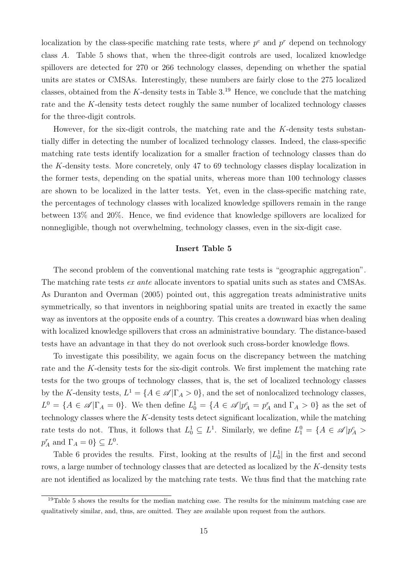localization by the class-specific matching rate tests, where  $p^c$  and  $p^r$  depend on technology class A. Table 5 shows that, when the three-digit controls are used, localized knowledge spillovers are detected for 270 or 266 technology classes, depending on whether the spatial units are states or CMSAs. Interestingly, these numbers are fairly close to the 275 localized classes, obtained from the K-density tests in Table  $3^{19}$  Hence, we conclude that the matching rate and the K-density tests detect roughly the same number of localized technology classes for the three-digit controls.

However, for the six-digit controls, the matching rate and the  $K$ -density tests substantially differ in detecting the number of localized technology classes. Indeed, the class-specific matching rate tests identify localization for a smaller fraction of technology classes than do the K-density tests. More concretely, only 47 to 69 technology classes display localization in the former tests, depending on the spatial units, whereas more than 100 technology classes are shown to be localized in the latter tests. Yet, even in the class-specific matching rate, the percentages of technology classes with localized knowledge spillovers remain in the range between 13% and 20%. Hence, we find evidence that knowledge spillovers are localized for nonnegligible, though not overwhelming, technology classes, even in the six-digit case.

#### Insert Table 5

The second problem of the conventional matching rate tests is "geographic aggregation". The matching rate tests *ex ante* allocate inventors to spatial units such as states and CMSAs. As Duranton and Overman (2005) pointed out, this aggregation treats administrative units symmetrically, so that inventors in neighboring spatial units are treated in exactly the same way as inventors at the opposite ends of a country. This creates a downward bias when dealing with localized knowledge spillovers that cross an administrative boundary. The distance-based tests have an advantage in that they do not overlook such cross-border knowledge flows.

To investigate this possibility, we again focus on the discrepancy between the matching rate and the K-density tests for the six-digit controls. We first implement the matching rate tests for the two groups of technology classes, that is, the set of localized technology classes by the K-density tests,  $L^1 = \{A \in \mathcal{A} | \Gamma_A > 0\}$ , and the set of nonlocalized technology classes,  $L^0 = \{A \in \mathscr{A} | \Gamma_A = 0\}$ . We then define  $L_0^1 = \{A \in \mathscr{A} | p_A^c = p_A^r \text{ and } \Gamma_A > 0\}$  as the set of technology classes where the  $K$ -density tests detect significant localization, while the matching rate tests do not. Thus, it follows that  $L_0^1 \subseteq L^1$ . Similarly, we define  $L_1^0 = \{A \in \mathscr{A} | p_A^c >$  $p_A^r$  and  $\Gamma_A = 0$ }  $\subseteq L^0$ .

Table 6 provides the results. First, looking at the results of  $|L_0|$  in the first and second rows, a large number of technology classes that are detected as localized by the K-density tests are not identified as localized by the matching rate tests. We thus find that the matching rate

<sup>&</sup>lt;sup>19</sup>Table 5 shows the results for the median matching case. The results for the minimum matching case are qualitatively similar, and, thus, are omitted. They are available upon request from the authors.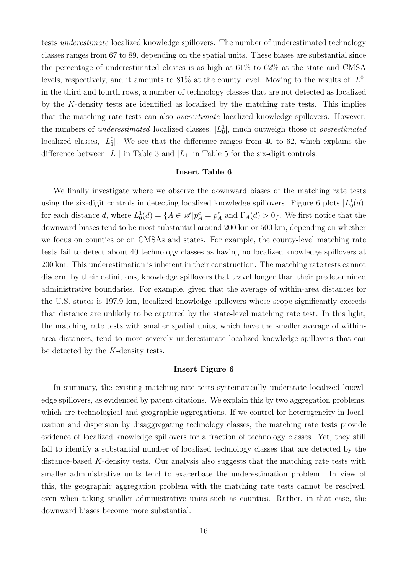tests underestimate localized knowledge spillovers. The number of underestimated technology classes ranges from 67 to 89, depending on the spatial units. These biases are substantial since the percentage of underestimated classes is as high as 61% to 62% at the state and CMSA levels, respectively, and it amounts to 81% at the county level. Moving to the results of  $|L_1^0|$ in the third and fourth rows, a number of technology classes that are not detected as localized by the K-density tests are identified as localized by the matching rate tests. This implies that the matching rate tests can also overestimate localized knowledge spillovers. However, the numbers of *underestimated* localized classes,  $|L_0^1|$ , much outweigh those of *overestimated* localized classes,  $|L_1^0|$ . We see that the difference ranges from 40 to 62, which explains the difference between  $|L^1|$  in Table 3 and  $|L_1|$  in Table 5 for the six-digit controls.

#### Insert Table 6

We finally investigate where we observe the downward biases of the matching rate tests using the six-digit controls in detecting localized knowledge spillovers. Figure 6 plots  $|L_0^1(d)|$ for each distance d, where  $L_0^1(d) = \{A \in \mathscr{A} | p_A^c = p_A^r \text{ and } \Gamma_A(d) > 0\}$ . We first notice that the downward biases tend to be most substantial around 200 km or 500 km, depending on whether we focus on counties or on CMSAs and states. For example, the county-level matching rate tests fail to detect about 40 technology classes as having no localized knowledge spillovers at 200 km. This underestimation is inherent in their construction. The matching rate tests cannot discern, by their definitions, knowledge spillovers that travel longer than their predetermined administrative boundaries. For example, given that the average of within-area distances for the U.S. states is 197.9 km, localized knowledge spillovers whose scope significantly exceeds that distance are unlikely to be captured by the state-level matching rate test. In this light, the matching rate tests with smaller spatial units, which have the smaller average of withinarea distances, tend to more severely underestimate localized knowledge spillovers that can be detected by the K-density tests.

#### Insert Figure 6

In summary, the existing matching rate tests systematically understate localized knowledge spillovers, as evidenced by patent citations. We explain this by two aggregation problems, which are technological and geographic aggregations. If we control for heterogeneity in localization and dispersion by disaggregating technology classes, the matching rate tests provide evidence of localized knowledge spillovers for a fraction of technology classes. Yet, they still fail to identify a substantial number of localized technology classes that are detected by the distance-based K-density tests. Our analysis also suggests that the matching rate tests with smaller administrative units tend to exacerbate the underestimation problem. In view of this, the geographic aggregation problem with the matching rate tests cannot be resolved, even when taking smaller administrative units such as counties. Rather, in that case, the downward biases become more substantial.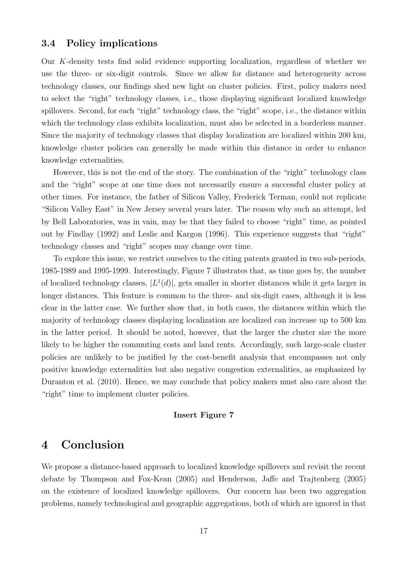## 3.4 Policy implications

Our K-density tests find solid evidence supporting localization, regardless of whether we use the three- or six-digit controls. Since we allow for distance and heterogeneity across technology classes, our findings shed new light on cluster policies. First, policy makers need to select the "right" technology classes, i.e., those displaying significant localized knowledge spillovers. Second, for each "right" technology class, the "right" scope, i.e., the distance within which the technology class exhibits localization, must also be selected in a borderless manner. Since the majority of technology classes that display localization are localized within 200 km, knowledge cluster policies can generally be made within this distance in order to enhance knowledge externalities.

However, this is not the end of the story. The combination of the "right" technology class and the "right" scope at one time does not necessarily ensure a successful cluster policy at other times. For instance, the father of Silicon Valley, Frederick Terman, could not replicate "Silicon Valley East" in New Jersey several years later. The reason why such an attempt, led by Bell Laboratories, was in vain, may be that they failed to choose "right" time, as pointed out by Findlay (1992) and Leslie and Kargon (1996). This experience suggests that "right" technology classes and "right" scopes may change over time.

To explore this issue, we restrict ourselves to the citing patents granted in two sub-periods, 1985-1989 and 1995-1999. Interestingly, Figure 7 illustrates that, as time goes by, the number of localized technology classes,  $|L^1(d)|$ , gets smaller in shorter distances while it gets larger in longer distances. This feature is common to the three- and six-digit cases, although it is less clear in the latter case. We further show that, in both cases, the distances within which the majority of technology classes displaying localization are localized can increase up to 500 km in the latter period. It should be noted, however, that the larger the cluster size the more likely to be higher the commuting costs and land rents. Accordingly, such large-scale cluster policies are unlikely to be justified by the cost-benefit analysis that encompasses not only positive knowledge externalities but also negative congestion externalities, as emphasized by Duranton et al. (2010). Hence, we may conclude that policy makers must also care about the "right" time to implement cluster policies.

#### Insert Figure 7

# 4 Conclusion

We propose a distance-based approach to localized knowledge spillovers and revisit the recent debate by Thompson and Fox-Kean (2005) and Henderson, Jaffe and Trajtenberg (2005) on the existence of localized knowledge spillovers. Our concern has been two aggregation problems, namely technological and geographic aggregations, both of which are ignored in that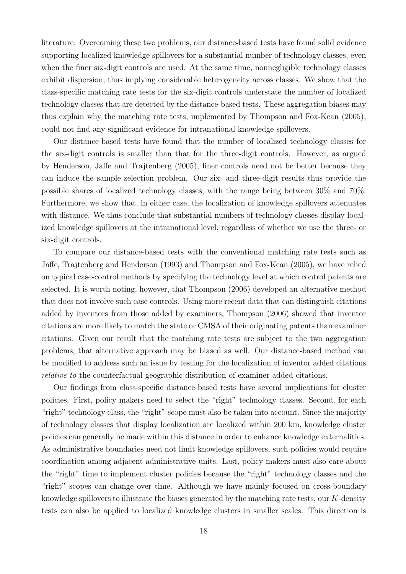literature. Overcoming these two problems, our distance-based tests have found solid evidence supporting localized knowledge spillovers for a substantial number of technology classes, even when the finer six-digit controls are used. At the same time, nonnegligible technology classes exhibit dispersion, thus implying considerable heterogeneity across classes. We show that the class-specific matching rate tests for the six-digit controls understate the number of localized technology classes that are detected by the distance-based tests. These aggregation biases may thus explain why the matching rate tests, implemented by Thompson and Fox-Kean (2005), could not find any significant evidence for intranational knowledge spillovers.

Our distance-based tests have found that the number of localized technology classes for the six-digit controls is smaller than that for the three-digit controls. However, as argued by Henderson, Jaffe and Trajtenberg (2005), finer controls need not be better because they can induce the sample selection problem. Our six- and three-digit results thus provide the possible shares of localized technology classes, with the range being between 30% and 70%. Furthermore, we show that, in either case, the localization of knowledge spillovers attenuates with distance. We thus conclude that substantial numbers of technology classes display localized knowledge spillovers at the intranational level, regardless of whether we use the three- or six-digit controls.

To compare our distance-based tests with the conventional matching rate tests such as Jaffe, Trajtenberg and Henderson (1993) and Thompson and Fox-Kean (2005), we have relied on typical case-control methods by specifying the technology level at which control patents are selected. It is worth noting, however, that Thompson (2006) developed an alternative method that does not involve such case controls. Using more recent data that can distinguish citations added by inventors from those added by examiners, Thompson (2006) showed that inventor citations are more likely to match the state or CMSA of their originating patents than examiner citations. Given our result that the matching rate tests are subject to the two aggregation problems, that alternative approach may be biased as well. Our distance-based method can be modified to address such an issue by testing for the localization of inventor added citations relative to the counterfactual geographic distribution of examiner added citations.

Our findings from class-specific distance-based tests have several implications for cluster policies. First, policy makers need to select the "right" technology classes. Second, for each "right" technology class, the "right" scope must also be taken into account. Since the majority of technology classes that display localization are localized within 200 km, knowledge cluster policies can generally be made within this distance in order to enhance knowledge externalities. As administrative boundaries need not limit knowledge spillovers, such policies would require coordination among adjacent administrative units. Last, policy makers must also care about the "right" time to implement cluster policies because the "right" technology classes and the "right" scopes can change over time. Although we have mainly focused on cross-boundary knowledge spillovers to illustrate the biases generated by the matching rate tests, our  $K$ -density tests can also be applied to localized knowledge clusters in smaller scales. This direction is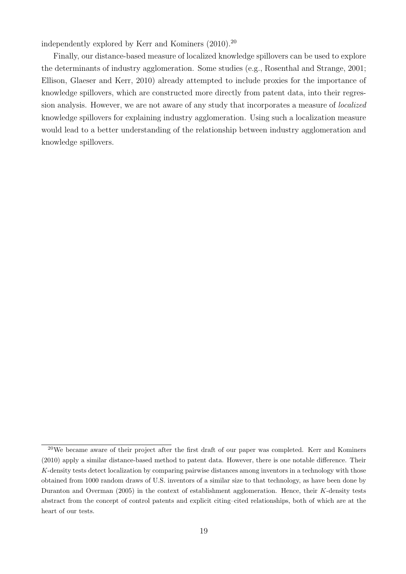independently explored by Kerr and Kominers (2010).<sup>20</sup>

Finally, our distance-based measure of localized knowledge spillovers can be used to explore the determinants of industry agglomeration. Some studies (e.g., Rosenthal and Strange, 2001; Ellison, Glaeser and Kerr, 2010) already attempted to include proxies for the importance of knowledge spillovers, which are constructed more directly from patent data, into their regression analysis. However, we are not aware of any study that incorporates a measure of localized knowledge spillovers for explaining industry agglomeration. Using such a localization measure would lead to a better understanding of the relationship between industry agglomeration and knowledge spillovers.

<sup>20</sup>We became aware of their project after the first draft of our paper was completed. Kerr and Kominers (2010) apply a similar distance-based method to patent data. However, there is one notable difference. Their K-density tests detect localization by comparing pairwise distances among inventors in a technology with those obtained from 1000 random draws of U.S. inventors of a similar size to that technology, as have been done by Duranton and Overman (2005) in the context of establishment agglomeration. Hence, their K-density tests abstract from the concept of control patents and explicit citing–cited relationships, both of which are at the heart of our tests.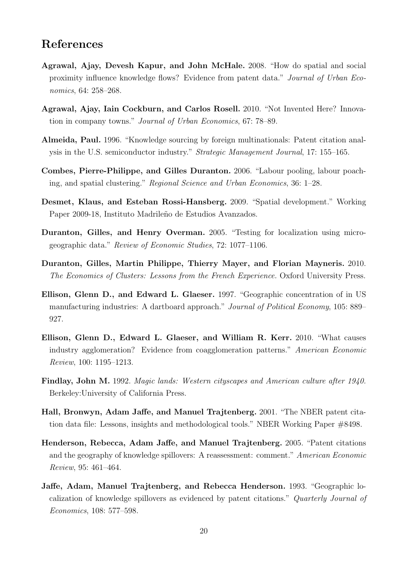# References

- Agrawal, Ajay, Devesh Kapur, and John McHale. 2008. "How do spatial and social proximity influence knowledge flows? Evidence from patent data." Journal of Urban Economics, 64: 258–268.
- Agrawal, Ajay, Iain Cockburn, and Carlos Rosell. 2010. "Not Invented Here? Innovation in company towns." Journal of Urban Economics, 67: 78–89.
- Almeida, Paul. 1996. "Knowledge sourcing by foreign multinationals: Patent citation analysis in the U.S. semiconductor industry." Strategic Management Journal, 17: 155–165.
- Combes, Pierre-Philippe, and Gilles Duranton. 2006. "Labour pooling, labour poaching, and spatial clustering." Regional Science and Urban Economics, 36: 1–28.
- Desmet, Klaus, and Esteban Rossi-Hansberg. 2009. "Spatial development." Working Paper 2009-18, Instituto Madrileño de Estudios Avanzados.
- Duranton, Gilles, and Henry Overman. 2005. "Testing for localization using microgeographic data." Review of Economic Studies, 72: 1077–1106.
- Duranton, Gilles, Martin Philippe, Thierry Mayer, and Florian Mayneris. 2010. The Economics of Clusters: Lessons from the French Experience. Oxford University Press.
- Ellison, Glenn D., and Edward L. Glaeser. 1997. "Geographic concentration of in US manufacturing industries: A dartboard approach." Journal of Political Economy, 105: 889– 927.
- Ellison, Glenn D., Edward L. Glaeser, and William R. Kerr. 2010. "What causes industry agglomeration? Evidence from coagglomeration patterns." American Economic Review, 100: 1195–1213.
- Findlay, John M. 1992. Magic lands: Western cityscapes and American culture after 1940. Berkeley:University of California Press.
- Hall, Bronwyn, Adam Jaffe, and Manuel Trajtenberg. 2001. "The NBER patent citation data file: Lessons, insights and methodological tools." NBER Working Paper #8498.
- Henderson, Rebecca, Adam Jaffe, and Manuel Trajtenberg. 2005. "Patent citations and the geography of knowledge spillovers: A reassessment: comment." American Economic Review, 95: 461–464.
- Jaffe, Adam, Manuel Trajtenberg, and Rebecca Henderson. 1993. "Geographic localization of knowledge spillovers as evidenced by patent citations." Quarterly Journal of Economics, 108: 577–598.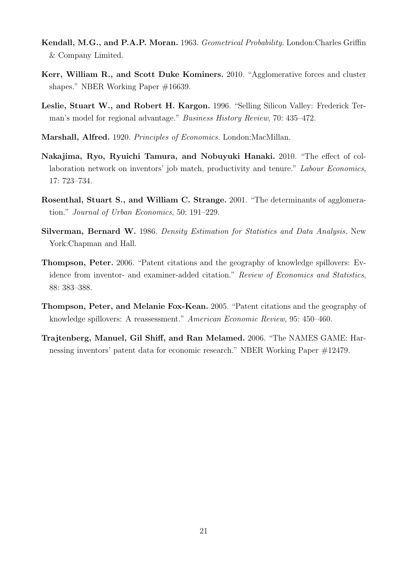- Kendall, M.G., and P.A.P. Moran. 1963. Geometrical Probability. London:Charles Griffin & Company Limited.
- Kerr, William R., and Scott Duke Kominers. 2010. "Agglomerative forces and cluster shapes." NBER Working Paper #16639.
- Leslie, Stuart W., and Robert H. Kargon. 1996. "Selling Silicon Valley: Frederick Terman's model for regional advantage." Business History Review, 70: 435–472.
- Marshall, Alfred. 1920. Principles of Economics. London:MacMillan.
- Nakajima, Ryo, Ryuichi Tamura, and Nobuyuki Hanaki. 2010. "The effect of collaboration network on inventors' job match, productivity and tenure." Labour Economics, 17: 723–734.
- Rosenthal, Stuart S., and William C. Strange. 2001. "The determinants of agglomeration." Journal of Urban Economics, 50: 191–229.
- Silverman, Bernard W. 1986. Density Estimation for Statistics and Data Analysis. New York:Chapman and Hall.
- Thompson, Peter. 2006. "Patent citations and the geography of knowledge spillovers: Evidence from inventor- and examiner-added citation." Review of Economics and Statistics, 88: 383–388.
- Thompson, Peter, and Melanie Fox-Kean. 2005. "Patent citations and the geography of knowledge spillovers: A reassessment." American Economic Review, 95: 450–460.
- Trajtenberg, Manuel, Gil Shiff, and Ran Melamed. 2006. "The NAMES GAME: Harnessing inventors' patent data for economic research." NBER Working Paper #12479.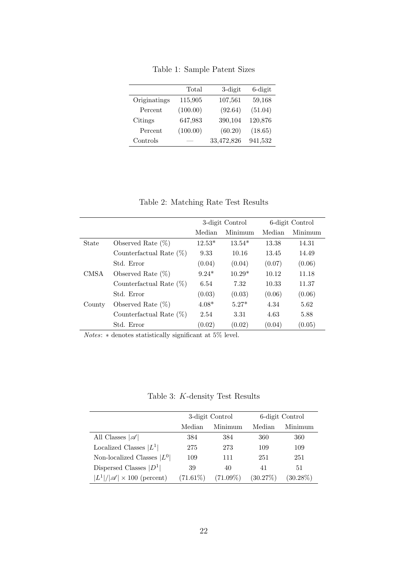|              | Total    | $3$ -digit | $6$ -digit |
|--------------|----------|------------|------------|
| Originatings | 115,905  | 107,561    | 59,168     |
| Percent      | (100.00) | (92.64)    | (51.04)    |
| Citings      | 647,983  | 390,104    | 120,876    |
| Percent      | (100.00) | (60.20)    | (18.65)    |
| Controls     |          | 33,472,826 | 941,532    |

Table 1: Sample Patent Sizes

Table 2: Matching Rate Test Results

|             |                            | 3-digit Control |          | 6-digit Control |         |
|-------------|----------------------------|-----------------|----------|-----------------|---------|
|             |                            | Median          | Minimum  | Median          | Minimum |
| State       | Observed Rate $(\%)$       | $12.53*$        | $13.54*$ | 13.38           | 14.31   |
|             | Counterfactual Rate $(\%)$ | 9.33            | 10.16    | 13.45           | 14.49   |
|             | Std. Error                 | (0.04)          | (0.04)   | (0.07)          | (0.06)  |
| <b>CMSA</b> | Observed Rate $(\%)$       | $9.24*$         | $10.29*$ | 10.12           | 11.18   |
|             | Counterfactual Rate $(\%)$ | 6.54            | 7.32     | 10.33           | 11.37   |
|             | Std. Error                 | (0.03)          | (0.03)   | (0.06)          | (0.06)  |
| County      | Observed Rate $(\%)$       | $4.08*$         | $5.27*$  | 4.34            | 5.62    |
|             | Counterfactual Rate $(\%)$ | 2.54            | 3.31     | 4.63            | 5.88    |
|             | Std. Error                 | (0.02)          | (0.02)   | (0.04)          | (0.05)  |

 $Notes: * denotes statistically significant at 5\% level.$ 

Table 3: K-density Test Results

|                                            |             | 3-digit Control | 6-digit Control |             |  |
|--------------------------------------------|-------------|-----------------|-----------------|-------------|--|
|                                            | Median      | Minimum         | Median          | Minimum     |  |
| All Classes $ \mathscr{A} $                | 384         | 384             | 360             | 360         |  |
| Localized Classes $ L^1 $                  | 275         | 273             | 109             | 109         |  |
| Non-localized Classes $ L^0 $              | 109         | 111             | 251             | 251         |  |
| Dispersed Classes $ D^1 $                  | 39          | 40              | 41              | 51          |  |
| $ L^1 / \mathscr{A}  \times 100$ (percent) | $(71.61\%)$ | $(71.09\%)$     | (30.27%)        | $(30.28\%)$ |  |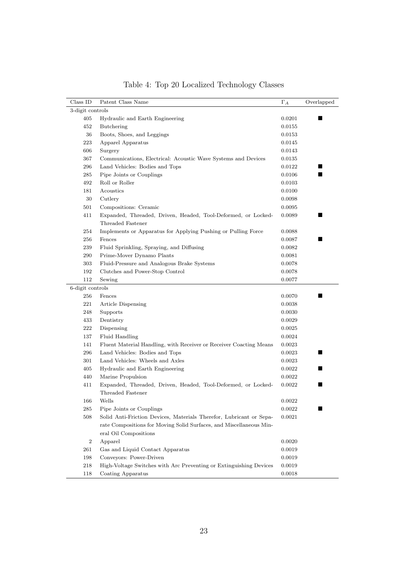| Class ID         | Patent Class Name                                                   | $\Gamma_A$ | Overlapped |  |  |
|------------------|---------------------------------------------------------------------|------------|------------|--|--|
| 3-digit controls |                                                                     |            |            |  |  |
| 405              | Hydraulic and Earth Engineering                                     | 0.0201     | ■          |  |  |
| 452              | Butchering                                                          | 0.0155     |            |  |  |
| 36               | Boots, Shoes, and Leggings                                          | 0.0153     |            |  |  |
| 223              | Apparel Apparatus                                                   | 0.0145     |            |  |  |
| 606              | Surgery                                                             | 0.0143     |            |  |  |
| 367              | Communications, Electrical: Acoustic Wave Systems and Devices       | 0.0135     |            |  |  |
| 296              | Land Vehicles: Bodies and Tops                                      | 0.0122     |            |  |  |
| 285              | Pipe Joints or Couplings                                            | 0.0106     | ٠          |  |  |
| 492              | Roll or Roller                                                      | 0.0103     |            |  |  |
| 181              | Acoustics                                                           | 0.0100     |            |  |  |
| 30               | Cutlery                                                             | 0.0098     |            |  |  |
| 501              | Compositions: Ceramic                                               | 0.0095     |            |  |  |
| 411              | Expanded, Threaded, Driven, Headed, Tool-Deformed, or Locked-       | 0.0089     | ш          |  |  |
|                  | Threaded Fastener                                                   |            |            |  |  |
| 254              | Implements or Apparatus for Applying Pushing or Pulling Force       | 0.0088     |            |  |  |
| 256              | Fences                                                              | 0.0087     | s          |  |  |
| 239              | Fluid Sprinkling, Spraying, and Diffusing                           | 0.0082     |            |  |  |
| 290              | Prime-Mover Dynamo Plants                                           | 0.0081     |            |  |  |
| 303              | Fluid-Pressure and Analogous Brake Systems                          | 0.0078     |            |  |  |
| 192              | Clutches and Power-Stop Control                                     | 0.0078     |            |  |  |
| 112              | Sewing                                                              | 0.0077     |            |  |  |
| 6-digit controls |                                                                     |            |            |  |  |
| 256              | Fences                                                              | 0.0070     | ٠          |  |  |
| 221              | <b>Article Dispensing</b>                                           | 0.0038     |            |  |  |
| 248              | Supports                                                            | 0.0030     |            |  |  |
| 433              | Dentistry                                                           | 0.0029     |            |  |  |
| 222              | Dispensing                                                          | 0.0025     |            |  |  |
| 137              | Fluid Handling                                                      | 0.0024     |            |  |  |
| 141              | Fluent Material Handling, with Receiver or Receiver Coacting Means  | 0.0023     |            |  |  |
| 296              | Land Vehicles: Bodies and Tops                                      | 0.0023     | ■          |  |  |
| 301              | Land Vehicles: Wheels and Axles                                     | 0.0023     |            |  |  |
| 405              | Hydraulic and Earth Engineering                                     | 0.0022     | ш          |  |  |
| 440              | Marine Propulsion                                                   | 0.0022     |            |  |  |
| 411              | Expanded, Threaded, Driven, Headed, Tool-Deformed, or Locked-       | 0.0022     | ■          |  |  |
|                  | Threaded Fastener                                                   |            |            |  |  |
| 166              | Wells                                                               | $0.0022\,$ |            |  |  |
| 285              | Pipe Joints or Couplings                                            | 0.0022     | H          |  |  |
| 508              | Solid Anti-Friction Devices, Materials Therefor, Lubricant or Sepa- | 0.0021     |            |  |  |
|                  | rate Compositions for Moving Solid Surfaces, and Miscellaneous Min- |            |            |  |  |
|                  | eral Oil Compositions                                               |            |            |  |  |
| $\,2$            | Apparel                                                             | 0.0020     |            |  |  |
| 261              | Gas and Liquid Contact Apparatus                                    | 0.0019     |            |  |  |
| 198              | Conveyors: Power-Driven                                             | 0.0019     |            |  |  |
| 218              | High-Voltage Switches with Arc Preventing or Extinguishing Devices  | 0.0019     |            |  |  |
| 118              | Coating Apparatus                                                   | 0.0018     |            |  |  |

Table 4: Top 20 Localized Technology Classes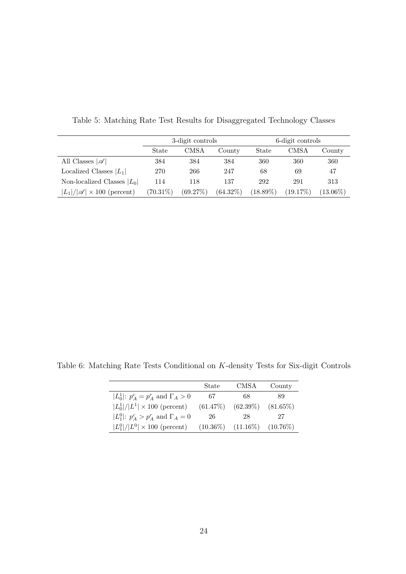|                                            | 3-digit controls |          | 6-digit controls |             |             |             |
|--------------------------------------------|------------------|----------|------------------|-------------|-------------|-------------|
|                                            | State            | CMSA     | County           | State       | CMSA        | County      |
| All Classes $ \mathscr{A} $                | 384              | 384      | 384              | 360         | 360         | 360         |
| Localized Classes $ L_1 $                  | 270              | 266      | 247              | 68          | 69          | 47          |
| Non-localized Classes $ L_0 $              | 114              | 118      | 137              | 292         | 291         | 313         |
| $ L_1 / \mathscr{A}  \times 100$ (percent) | $(70.31\%)$      | (69.27%) | $(64.32\%)$      | $(18.89\%)$ | $(19.17\%)$ | $(13.06\%)$ |

Table 5: Matching Rate Test Results for Disaggregated Technology Classes

Table 6: Matching Rate Tests Conditional on K-density Tests for Six-digit Controls

|                                                | State       | CMSA        | County      |
|------------------------------------------------|-------------|-------------|-------------|
| $ L_0^1 : p_A^c = p_A^r$ and $\Gamma_A > 0$    | 67          | 68          | 89          |
| $ L_0^1 / L^1  \times 100$ (percent)           | $(61.47\%)$ | $(62.39\%)$ | $(81.65\%)$ |
| $ L_1^0 $ : $p_A^c > p_A^r$ and $\Gamma_A = 0$ | 26          | 28          | 27          |
| $ L_1^0 / L^0  \times 100$ (percent)           | $(10.36\%)$ | $(11.16\%)$ | $(10.76\%)$ |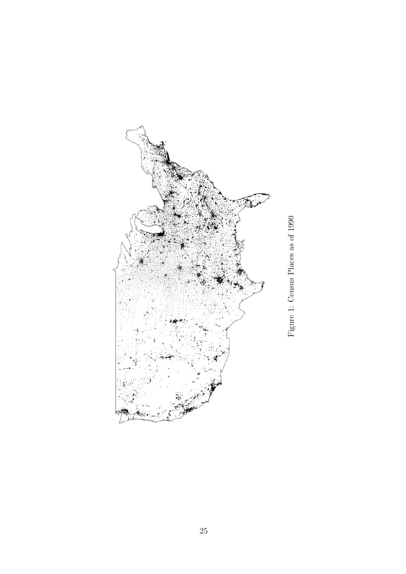

Figure 1: Census Places as of 1990 Figure 1: Census Places as of 1990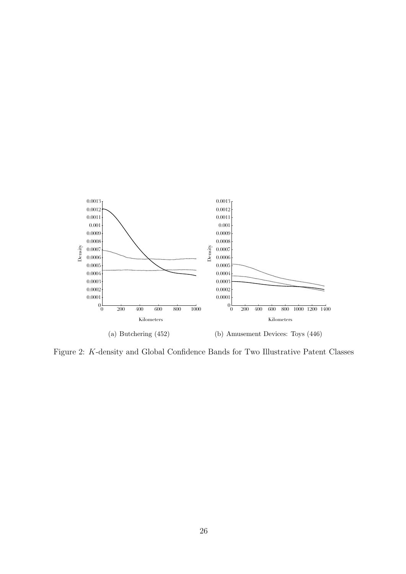

Figure 2: K-density and Global Confidence Bands for Two Illustrative Patent Classes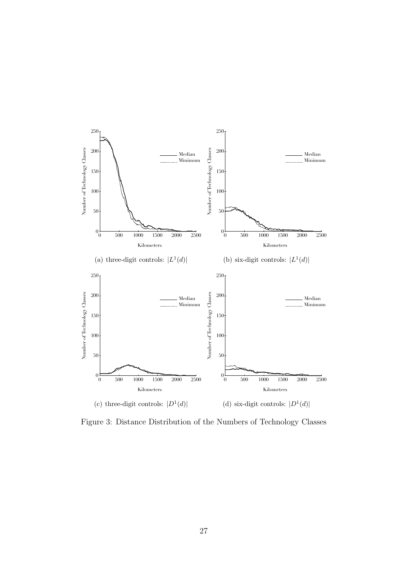

Figure 3: Distance Distribution of the Numbers of Technology Classes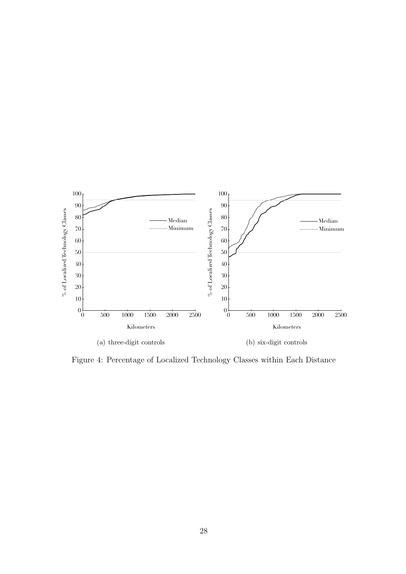

Figure 4: Percentage of Localized Technology Classes within Each Distance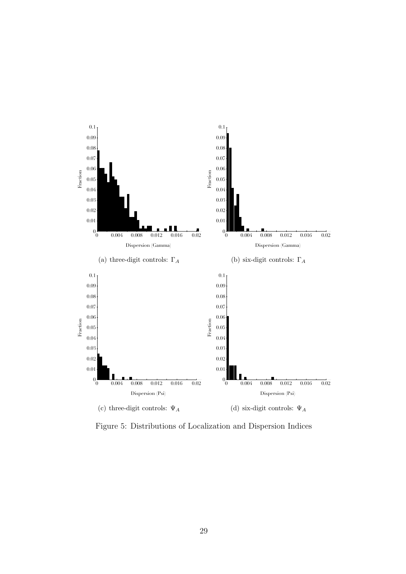

Figure 5: Distributions of Localization and Dispersion Indices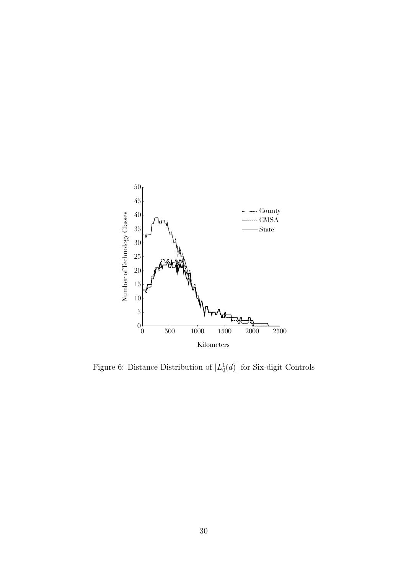

Figure 6: Distance Distribution of  $|L_0^1(d)|$  for Six-digit Controls